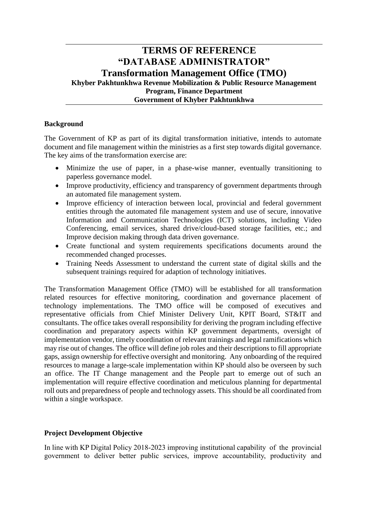# **TERMS OF REFERENCE "DATABASE ADMINISTRATOR" Transformation Management Office (TMO) Khyber Pakhtunkhwa Revenue Mobilization & Public Resource Management Program, Finance Department Government of Khyber Pakhtunkhwa**

## **Background**

The Government of KP as part of its digital transformation initiative, intends to automate document and file management within the ministries as a first step towards digital governance. The key aims of the transformation exercise are:

- Minimize the use of paper, in a phase-wise manner, eventually transitioning to paperless governance model.
- Improve productivity, efficiency and transparency of government departments through an automated file management system.
- Improve efficiency of interaction between local, provincial and federal government entities through the automated file management system and use of secure, innovative Information and Communication Technologies (ICT) solutions, including Video Conferencing, email services, shared drive/cloud-based storage facilities, etc.; and Improve decision making through data driven governance.
- Create functional and system requirements specifications documents around the recommended changed processes.
- Training Needs Assessment to understand the current state of digital skills and the subsequent trainings required for adaption of technology initiatives.

The Transformation Management Office (TMO) will be established for all transformation related resources for effective monitoring, coordination and governance placement of technology implementations. The TMO office will be composed of executives and representative officials from Chief Minister Delivery Unit, KPIT Board, ST&IT and consultants. The office takes overall responsibility for deriving the program including effective coordination and preparatory aspects within KP government departments, oversight of implementation vendor, timely coordination of relevant trainings and legal ramifications which may rise out of changes. The office will define job roles and their descriptions to fill appropriate gaps, assign ownership for effective oversight and monitoring. Any onboarding of the required resources to manage a large-scale implementation within KP should also be overseen by such an office. The IT Change management and the People part to emerge out of such an implementation will require effective coordination and meticulous planning for departmental roll outs and preparedness of people and technology assets. This should be all coordinated from within a single workspace.

## **Project Development Objective**

In line with KP Digital Policy 2018-2023 improving institutional capability of the provincial government to deliver better public services, improve accountability, productivity and